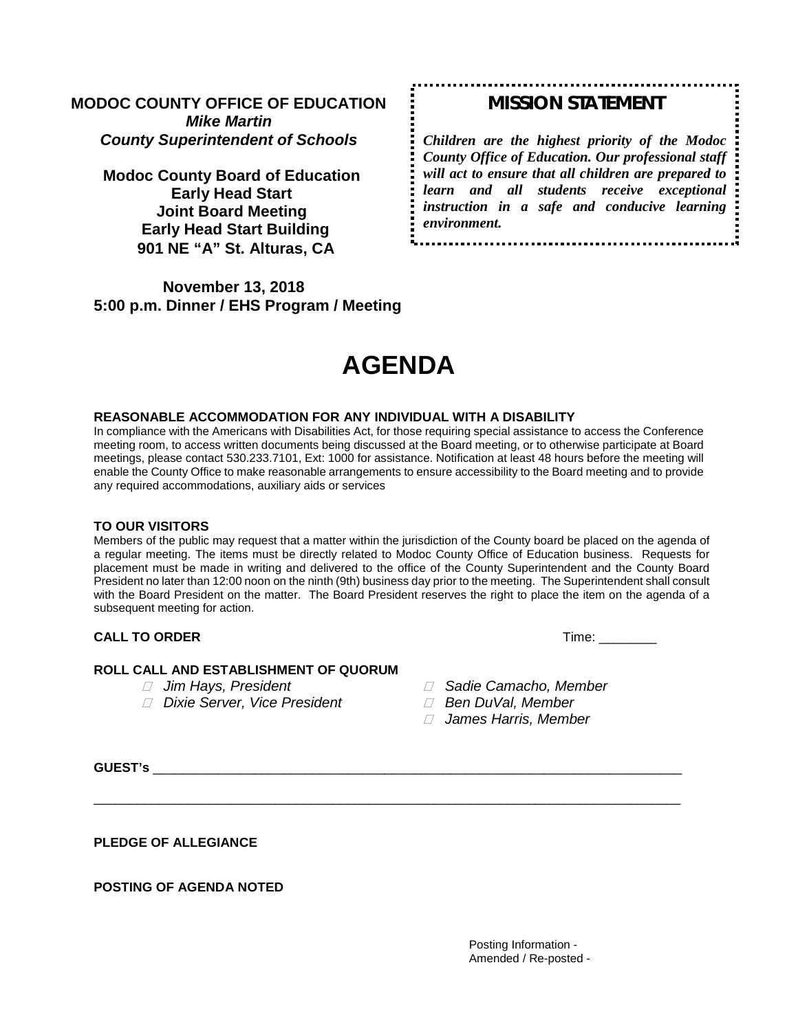# **MODOC COUNTY OFFICE OF EDUCATION** *Mike Martin County Superintendent of Schools*

**Modoc County Board of Education Early Head Start Joint Board Meeting Early Head Start Building 901 NE "A" St. Alturas, CA** 

**November 13, 2018 5:00 p.m. Dinner / EHS Program / Meeting** 

# *MISSION STATEMENT*

*Children are the highest priority of the Modoc County Office of Education. Our professional staff will act to ensure that all children are prepared to learn and all students receive exceptional instruction in a safe and conducive learning environment.*

# **AGENDA**

#### **REASONABLE ACCOMMODATION FOR ANY INDIVIDUAL WITH A DISABILITY**

In compliance with the Americans with Disabilities Act, for those requiring special assistance to access the Conference meeting room, to access written documents being discussed at the Board meeting, or to otherwise participate at Board meetings, please contact 530.233.7101, Ext: 1000 for assistance. Notification at least 48 hours before the meeting will enable the County Office to make reasonable arrangements to ensure accessibility to the Board meeting and to provide any required accommodations, auxiliary aids or services

#### **TO OUR VISITORS**

Members of the public may request that a matter within the jurisdiction of the County board be placed on the agenda of a regular meeting. The items must be directly related to Modoc County Office of Education business. Requests for placement must be made in writing and delivered to the office of the County Superintendent and the County Board President no later than 12:00 noon on the ninth (9th) business day prior to the meeting. The Superintendent shall consult with the Board President on the matter. The Board President reserves the right to place the item on the agenda of a subsequent meeting for action.

\_\_\_\_\_\_\_\_\_\_\_\_\_\_\_\_\_\_\_\_\_\_\_\_\_\_\_\_\_\_\_\_\_\_\_\_\_\_\_\_\_\_\_\_\_\_\_\_\_\_\_\_\_\_\_\_\_\_\_\_\_\_\_\_\_\_\_\_\_\_\_\_\_\_\_\_\_\_\_\_\_

#### **CALL TO ORDER** Time: \_\_\_\_\_\_\_\_

#### **ROLL CALL AND ESTABLISHMENT OF QUORUM**

- 
- *Dixie Server, Vice President Ben DuVal, Member*
- *Jim Hays, President Sadie Camacho, Member*
	-
	- *James Harris, Member*

**GUEST's** \_\_\_\_\_\_\_\_\_\_\_\_\_\_\_\_\_\_\_\_\_\_\_\_\_\_\_\_\_\_\_\_\_\_\_\_\_\_\_\_\_\_\_\_\_\_\_\_\_\_\_\_\_\_\_\_\_\_\_\_\_\_\_\_\_\_\_\_\_\_\_\_\_

**PLEDGE OF ALLEGIANCE**

**POSTING OF AGENDA NOTED**